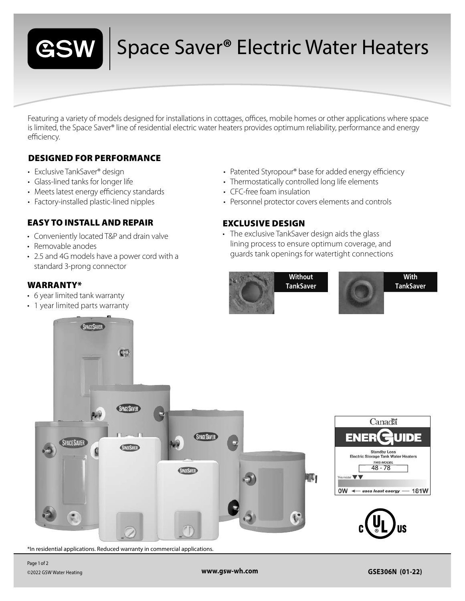

## Space Saver**®** Electric Water Heaters

Featuring a variety of models designed for installations in cottages, offices, mobile homes or other applications where space is limited, the Space Saver® line of residential electric water heaters provides optimum reliability, performance and energy efficiency.

### DESIGNED FOR PERFORMANCE

- Exclusive TankSaver® design
- Glass-lined tanks for longer life
- Meets latest energy efficiency standards
- Factory-installed plastic-lined nipples

#### EASY TO INSTALL AND REPAIR

- Conveniently located T&P and drain valve
- Removable anodes
- 2.5 and 4G models have a power cord with a standard 3-prong connector

#### WARRANTY\*

- 6 year limited tank warranty
- 1 year limited parts warranty
- Patented Styropour® base for added energy efficiency
- Thermostatically controlled long life elements
- CFC-free foam insulation
- Personnel protector covers elements and controls

#### EXCLUSIVE DESIGN

• The exclusive TankSaver design aids the glass lining process to ensure optimum coverage, and guards tank openings for watertight connections





**With TankSaver**



\*In residential applications. Reduced warranty in commercial applications.